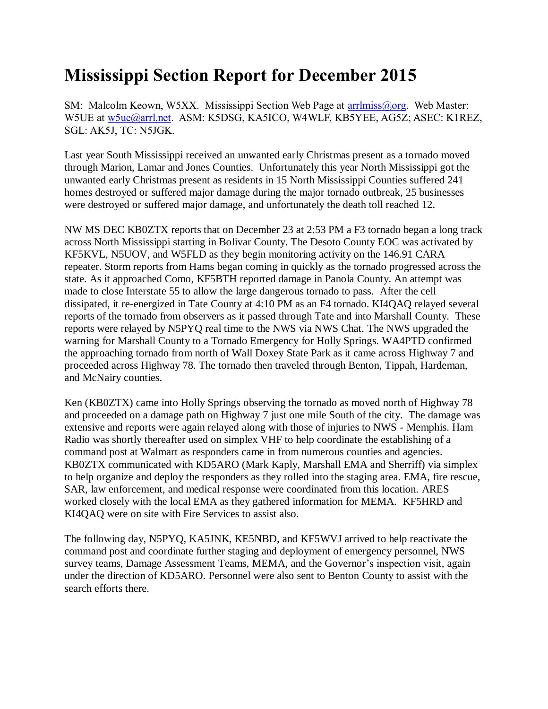## **Mississippi Section Report for December 2015**

SM: Malcolm Keown, W5XX. Mississippi Section Web Page at [arrlmiss@org.](mailto:arrlmiss@org) Web Master: W5UE at [w5ue@arrl.net.](mailto:w5ue@arrl.net) ASM: K5DSG, KA5ICO, W4WLF, KB5YEE, AG5Z; ASEC: K1REZ, SGL: AK5J, TC: N5JGK.

Last year South Mississippi received an unwanted early Christmas present as a tornado moved through Marion, Lamar and Jones Counties. Unfortunately this year North Mississippi got the unwanted early Christmas present as residents in 15 North Mississippi Counties suffered 241 homes destroyed or suffered major damage during the major tornado outbreak, 25 businesses were destroyed or suffered major damage, and unfortunately the death toll reached 12.

NW MS DEC KB0ZTX reports that on December 23 at 2:53 PM a F3 tornado began a long track across North Mississippi starting in Bolivar County. The Desoto County EOC was activated by KF5KVL, N5UOV, and W5FLD as they begin monitoring activity on the 146.91 CARA repeater. Storm reports from Hams began coming in quickly as the tornado progressed across the state. As it approached Como, KF5BTH reported damage in Panola County. An attempt was made to close Interstate 55 to allow the large dangerous tornado to pass. After the cell dissipated, it re-energized in Tate County at 4:10 PM as an F4 tornado. KI4QAQ relayed several reports of the tornado from observers as it passed through Tate and into Marshall County. These reports were relayed by N5PYQ real time to the NWS via NWS Chat. The NWS upgraded the warning for Marshall County to a Tornado Emergency for Holly Springs. WA4PTD confirmed the approaching tornado from north of Wall Doxey State Park as it came across Highway 7 and proceeded across Highway 78. The tornado then traveled through Benton, Tippah, Hardeman, and McNairy counties.

Ken (KB0ZTX) came into Holly Springs observing the tornado as moved north of Highway 78 and proceeded on a damage path on Highway 7 just one mile South of the city. The damage was extensive and reports were again relayed along with those of injuries to NWS - Memphis. Ham Radio was shortly thereafter used on simplex VHF to help coordinate the establishing of a command post at Walmart as responders came in from numerous counties and agencies. KB0ZTX communicated with KD5ARO (Mark Kaply, Marshall EMA and Sherriff) via simplex to help organize and deploy the responders as they rolled into the staging area. EMA, fire rescue, SAR, law enforcement, and medical response were coordinated from this location. ARES worked closely with the local EMA as they gathered information for MEMA. KF5HRD and KI4QAQ were on site with Fire Services to assist also.

The following day, N5PYQ, KA5JNK, KE5NBD, and KF5WVJ arrived to help reactivate the command post and coordinate further staging and deployment of emergency personnel, NWS survey teams, Damage Assessment Teams, MEMA, and the Governor's inspection visit, again under the direction of KD5ARO. Personnel were also sent to Benton County to assist with the search efforts there.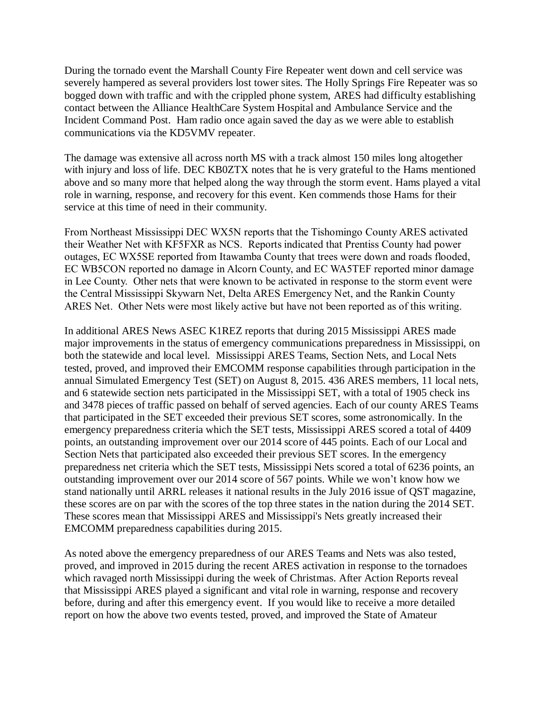During the tornado event the Marshall County Fire Repeater went down and cell service was severely hampered as several providers lost tower sites. The Holly Springs Fire Repeater was so bogged down with traffic and with the crippled phone system, ARES had difficulty establishing contact between the Alliance HealthCare System Hospital and Ambulance Service and the Incident Command Post. Ham radio once again saved the day as we were able to establish communications via the KD5VMV repeater.

The damage was extensive all across north MS with a track almost 150 miles long altogether with injury and loss of life. DEC KB0ZTX notes that he is very grateful to the Hams mentioned above and so many more that helped along the way through the storm event. Hams played a vital role in warning, response, and recovery for this event. Ken commends those Hams for their service at this time of need in their community.

From Northeast Mississippi DEC WX5N reports that the Tishomingo County ARES activated their Weather Net with KF5FXR as NCS. Reports indicated that Prentiss County had power outages, EC WX5SE reported from Itawamba County that trees were down and roads flooded, EC WB5CON reported no damage in Alcorn County, and EC WA5TEF reported minor damage in Lee County. Other nets that were known to be activated in response to the storm event were the Central Mississippi Skywarn Net, Delta ARES Emergency Net, and the Rankin County ARES Net. Other Nets were most likely active but have not been reported as of this writing.

In additional ARES News ASEC K1REZ reports that during 2015 Mississippi ARES made major improvements in the status of emergency communications preparedness in Mississippi, on both the statewide and local level. Mississippi ARES Teams, Section Nets, and Local Nets tested, proved, and improved their EMCOMM response capabilities through participation in the annual Simulated Emergency Test (SET) on August 8, 2015. 436 ARES members, 11 local nets, and 6 statewide section nets participated in the Mississippi SET, with a total of 1905 check ins and 3478 pieces of traffic passed on behalf of served agencies. Each of our county ARES Teams that participated in the SET exceeded their previous SET scores, some astronomically. In the emergency preparedness criteria which the SET tests, Mississippi ARES scored a total of 4409 points, an outstanding improvement over our 2014 score of 445 points. Each of our Local and Section Nets that participated also exceeded their previous SET scores. In the emergency preparedness net criteria which the SET tests, Mississippi Nets scored a total of 6236 points, an outstanding improvement over our 2014 score of 567 points. While we won't know how we stand nationally until ARRL releases it national results in the July 2016 issue of QST magazine, these scores are on par with the scores of the top three states in the nation during the 2014 SET. These scores mean that Mississippi ARES and Mississippi's Nets greatly increased their EMCOMM preparedness capabilities during 2015.

As noted above the emergency preparedness of our ARES Teams and Nets was also tested, proved, and improved in 2015 during the recent ARES activation in response to the tornadoes which ravaged north Mississippi during the week of Christmas. After Action Reports reveal that Mississippi ARES played a significant and vital role in warning, response and recovery before, during and after this emergency event. If you would like to receive a more detailed report on how the above two events tested, proved, and improved the State of Amateur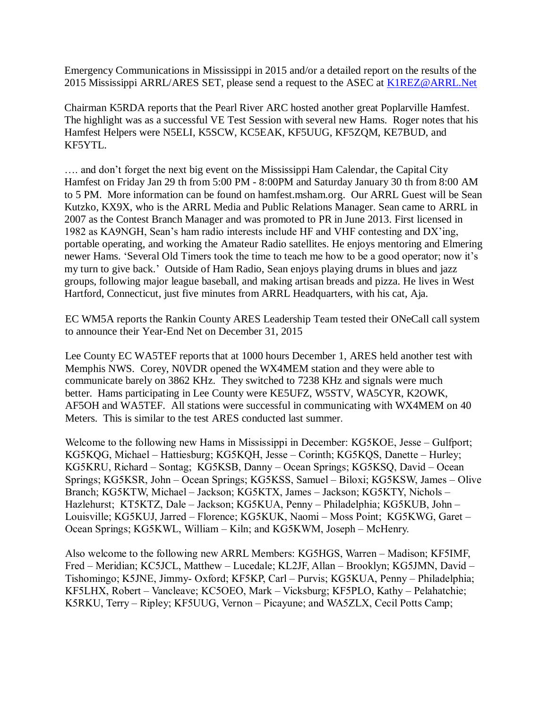Emergency Communications in Mississippi in 2015 and/or a detailed report on the results of the 2015 Mississippi ARRL/ARES SET, please send a request to the ASEC at [K1REZ@ARRL.Net](mailto:K1REZ@ARRL.Net)

Chairman K5RDA reports that the Pearl River ARC hosted another great Poplarville Hamfest. The highlight was as a successful VE Test Session with several new Hams. Roger notes that his Hamfest Helpers were N5ELI, K5SCW, KC5EAK, KF5UUG, KF5ZQM, KE7BUD, and KF5YTL.

…. and don't forget the next big event on the Mississippi Ham Calendar, the Capital City Hamfest on Friday Jan 29 th from 5:00 PM - 8:00PM and Saturday January 30 th from 8:00 AM to 5 PM. More information can be found on hamfest.msham.org. Our ARRL Guest will be Sean Kutzko, KX9X, who is the ARRL Media and Public Relations Manager. Sean came to ARRL in 2007 as the Contest Branch Manager and was promoted to PR in June 2013. First licensed in 1982 as KA9NGH, Sean's ham radio interests include HF and VHF contesting and DX'ing, portable operating, and working the Amateur Radio satellites. He enjoys mentoring and Elmering newer Hams. 'Several Old Timers took the time to teach me how to be a good operator; now it's my turn to give back.' Outside of Ham Radio, Sean enjoys playing drums in blues and jazz groups, following major league baseball, and making artisan breads and pizza. He lives in West Hartford, Connecticut, just five minutes from ARRL Headquarters, with his cat, Aja.

EC WM5A reports the Rankin County ARES Leadership Team tested their ONeCall call system to announce their Year-End Net on December 31, 2015

Lee County EC WA5TEF reports that at 1000 hours December 1, ARES held another test with Memphis NWS. Corey, N0VDR opened the WX4MEM station and they were able to communicate barely on 3862 KHz. They switched to 7238 KHz and signals were much better. Hams participating in Lee County were KE5UFZ, W5STV, WA5CYR, K2OWK, AF5OH and WA5TEF. All stations were successful in communicating with WX4MEM on 40 Meters. This is similar to the test ARES conducted last summer.

Welcome to the following new Hams in Mississippi in December: KG5KOE, Jesse – Gulfport; KG5KQG, Michael – Hattiesburg; KG5KQH, Jesse – Corinth; KG5KQS, Danette – Hurley; KG5KRU, Richard – Sontag; KG5KSB, Danny – Ocean Springs; KG5KSQ, David – Ocean Springs; KG5KSR, John – Ocean Springs; KG5KSS, Samuel – Biloxi; KG5KSW, James – Olive Branch; KG5KTW, Michael – Jackson; KG5KTX, James – Jackson; KG5KTY, Nichols – Hazlehurst; KT5KTZ, Dale – Jackson; KG5KUA, Penny – Philadelphia; KG5KUB, John – Louisville; KG5KUJ, Jarred – Florence; KG5KUK, Naomi – Moss Point; KG5KWG, Garet – Ocean Springs; KG5KWL, William – Kiln; and KG5KWM, Joseph – McHenry.

Also welcome to the following new ARRL Members: KG5HGS, Warren – Madison; KF5IMF, Fred – Meridian; KC5JCL, Matthew – Lucedale; KL2JF, Allan – Brooklyn; KG5JMN, David – Tishomingo; K5JNE, Jimmy- Oxford; KF5KP, Carl – Purvis; KG5KUA, Penny – Philadelphia; KF5LHX, Robert – Vancleave; KC5OEO, Mark – Vicksburg; KF5PLO, Kathy – Pelahatchie; K5RKU, Terry – Ripley; KF5UUG, Vernon – Picayune; and WA5ZLX, Cecil Potts Camp;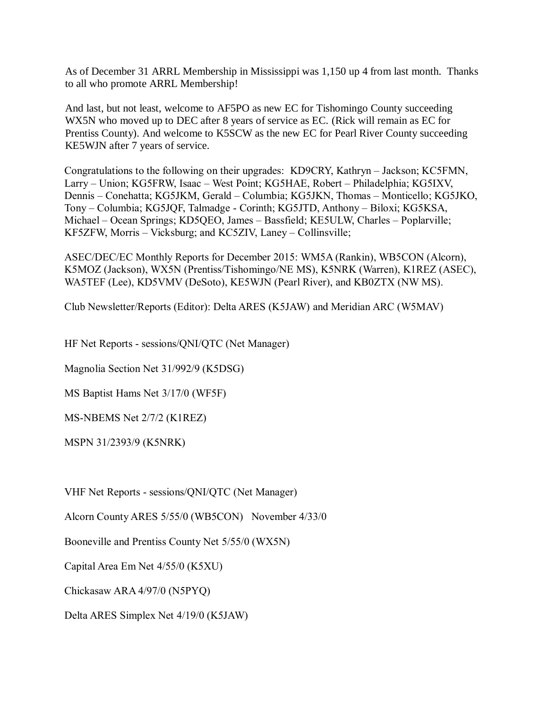As of December 31 ARRL Membership in Mississippi was 1,150 up 4 from last month. Thanks to all who promote ARRL Membership!

And last, but not least, welcome to AF5PO as new EC for Tishomingo County succeeding WX5N who moved up to DEC after 8 years of service as EC. (Rick will remain as EC for Prentiss County). And welcome to K5SCW as the new EC for Pearl River County succeeding KE5WJN after 7 years of service.

Congratulations to the following on their upgrades: KD9CRY, Kathryn – Jackson; KC5FMN, Larry – Union; KG5FRW, Isaac – West Point; KG5HAE, Robert – Philadelphia; KG5IXV, Dennis – Conehatta; KG5JKM, Gerald – Columbia; KG5JKN, Thomas – Monticello; KG5JKO, Tony – Columbia; KG5JQF, Talmadge - Corinth; KG5JTD, Anthony – Biloxi; KG5KSA, Michael – Ocean Springs; KD5QEO, James – Bassfield; KE5ULW, Charles – Poplarville; KF5ZFW, Morris – Vicksburg; and KC5ZIV, Laney – Collinsville;

ASEC/DEC/EC Monthly Reports for December 2015: WM5A (Rankin), WB5CON (Alcorn), K5MOZ (Jackson), WX5N (Prentiss/Tishomingo/NE MS), K5NRK (Warren), K1REZ (ASEC), WA5TEF (Lee), KD5VMV (DeSoto), KE5WJN (Pearl River), and KB0ZTX (NW MS).

Club Newsletter/Reports (Editor): Delta ARES (K5JAW) and Meridian ARC (W5MAV)

HF Net Reports - sessions/QNI/QTC (Net Manager)

Magnolia Section Net 31/992/9 (K5DSG)

MS Baptist Hams Net 3/17/0 (WF5F)

MS-NBEMS Net 2/7/2 (K1REZ)

MSPN 31/2393/9 (K5NRK)

VHF Net Reports - sessions/QNI/QTC (Net Manager)

Alcorn County ARES 5/55/0 (WB5CON) November 4/33/0

Booneville and Prentiss County Net 5/55/0 (WX5N)

Capital Area Em Net 4/55/0 (K5XU)

Chickasaw ARA 4/97/0 (N5PYQ)

Delta ARES Simplex Net 4/19/0 (K5JAW)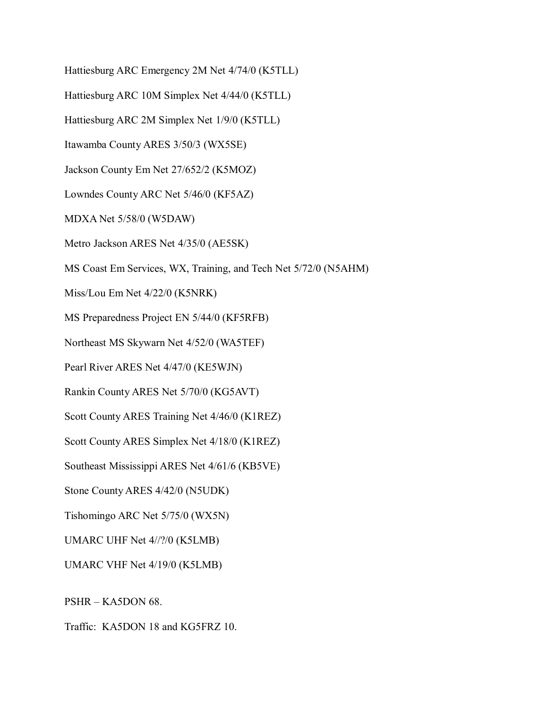Hattiesburg ARC Emergency 2M Net 4/74/0 (K5TLL)

Hattiesburg ARC 10M Simplex Net 4/44/0 (K5TLL)

Hattiesburg ARC 2M Simplex Net 1/9/0 (K5TLL)

Itawamba County ARES 3/50/3 (WX5SE)

Jackson County Em Net 27/652/2 (K5MOZ)

Lowndes County ARC Net 5/46/0 (KF5AZ)

MDXA Net 5/58/0 (W5DAW)

Metro Jackson ARES Net 4/35/0 (AE5SK)

MS Coast Em Services, WX, Training, and Tech Net 5/72/0 (N5AHM)

Miss/Lou Em Net 4/22/0 (K5NRK)

MS Preparedness Project EN 5/44/0 (KF5RFB)

Northeast MS Skywarn Net 4/52/0 (WA5TEF)

Pearl River ARES Net 4/47/0 (KE5WJN)

Rankin County ARES Net 5/70/0 (KG5AVT)

Scott County ARES Training Net 4/46/0 (K1REZ)

Scott County ARES Simplex Net 4/18/0 (K1REZ)

Southeast Mississippi ARES Net 4/61/6 (KB5VE)

Stone County ARES 4/42/0 (N5UDK)

Tishomingo ARC Net 5/75/0 (WX5N)

UMARC UHF Net 4//?/0 (K5LMB)

UMARC VHF Net 4/19/0 (K5LMB)

PSHR – KA5DON 68.

Traffic: KA5DON 18 and KG5FRZ 10.